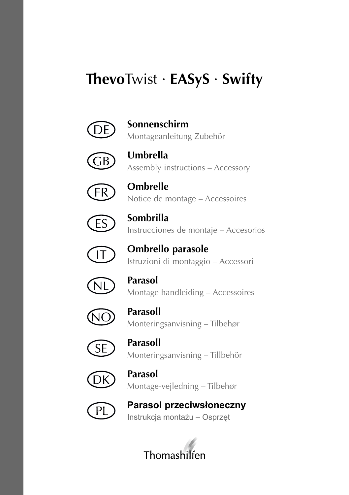# **Thevo**Twist · **EASyS** · **Swifty**



**Sonnenschirm** Montageanleitung Zubehör



**Umbrella** Assembly instructions – Accessory



**Ombrelle** Notice de montage – Accessoires



**Sombrilla** Instrucciones de montaje – Accesorios



**Ombrello parasole** Istruzioni di montaggio – Accessori



**Parasol** Montage handleiding – Accessoires



**Parasoll** Monteringsanvisning – Tilbehør



**Parasoll** Monteringsanvisning – Tillbehör



**Parasol** Montage-vejledning – Tilbehør



**Parasol przeciwsłoneczny** Instrukcja montażu – Osprzęt

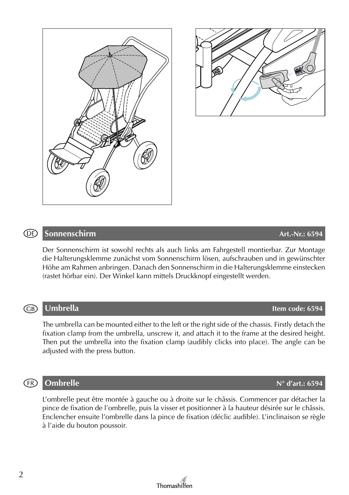L'ombrelle peut être montée à gauche ou à droite sur le châssis. Commencer par détacher la pince de fixation de l'ombrelle, puis la visser et positionner à la hauteur désirée sur le châssis. Enclencher ensuite l'ombrelle dans la pince de fixation (déclic audible). L'inclinaison se règle

Thomashilfen

**Ombrelle N° d'art.: 6594**





Der Sonnenschirm ist sowohl rechts als auch links am Fahrgestell montierbar. Zur Montage die Halterungsklemme zunächst vom Sonnenschirm lösen, aufschrauben und in gewünschter Höhe am Rahmen anbringen. Danach den Sonnenschirm in die Halterungsklemme einstecken

(rastet hörbar ein). Der Winkel kann mittels Druckknopf eingestellt werden.

### **Umbrella Item code: 6594** GB)

The umbrella can be mounted either to the left or the right side of the chassis. Firstly detach the fixation clamp from the umbrella, unscrew it, and attach it to the frame at the desired height. Then put the umbrella into the fixation clamp (audibly clicks into place). The angle can be adjusted with the press button.

## (FR)

à l'aide du bouton poussoir.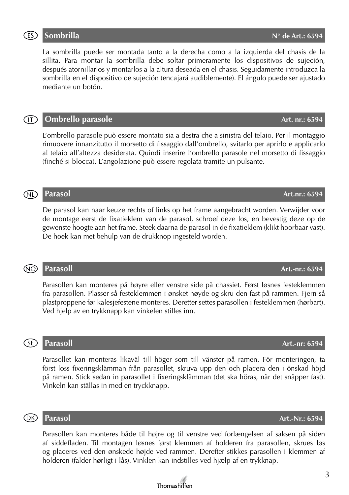### **Sombrilla N°** de Art.: 6594 (ES)

La sombrilla puede ser montada tanto a la derecha como a la izquierda del chasis de la sillita. Para montar la sombrilla debe soltar primeramente los dispositivos de sujeción, después atornillarlos y montarlos a la altura deseada en el chasis. Seguidamente introduzca la sombrilla en el dispositivo de sujeción (encajará audiblemente). El ángulo puede ser ajustado mediante un botón.

## **Ombrello parasole Art. nr.: 6594**

L'ombrello parasole può essere montato sia a destra che a sinistra del telaio. Per il montaggio rimuovere innanzitutto il morsetto di fissaggio dall'ombrello, svitarlo per aprirlo e applicarlo al telaio all'altezza desiderata. Quindi inserire l'ombrello parasole nel morsetto di fissaggio (finché si blocca). L'angolazione può essere regolata tramite un pulsante.

## **Parasol Art.nr.: 6594**

De parasol kan naar keuze rechts of links op het frame aangebracht worden. Verwijder voor de montage eerst de fixatieklem van de parasol, schroef deze los, en bevestig deze op de gewenste hoogte aan het frame. Steek daarna de parasol in de fixatieklem (klikt hoorbaar vast). De hoek kan met behulp van de drukknop ingesteld worden.

## (NO)

## **Parasoll Art.-nr.: 6594**

Parasollen kan monteres på høyre eller venstre side på chassiet. Først løsnes festeklemmen fra parasollen. Plasser så festeklemmen i ønsket høyde og skru den fast på rammen. Fjern så plastproppene før kalesjefestene monteres. Deretter settes parasollen i festeklemmen (hørbart). Ved hjelp av en trykknapp kan vinkelen stilles inn.

### (SE) **Parasoll Art.-nr: 6594**

Parasollet kan monteras likaväl till höger som till vänster på ramen. För monteringen, ta först loss fixeringsklämman från parasollet, skruva upp den och placera den i önskad höjd på ramen. Stick sedan in parasollet i fixeringsklämman (det ska höras, när det snäpper fast). Vinkeln kan ställas in med en tryckknapp.

### (DK) **Parasol Art.-Nr.: 6594**

Parasollen kan monteres både til højre og til venstre ved forlængelsen af saksen på siden af siddefladen. Til montagen løsnes først klemmen af holderen fra parasollen, skrues løs og placeres ved den ønskede højde ved rammen. Derefter stikkes parasollen i klemmen af holderen (falder hørligt i lås). Vinklen kan indstilles ved hjælp af en trykknap.